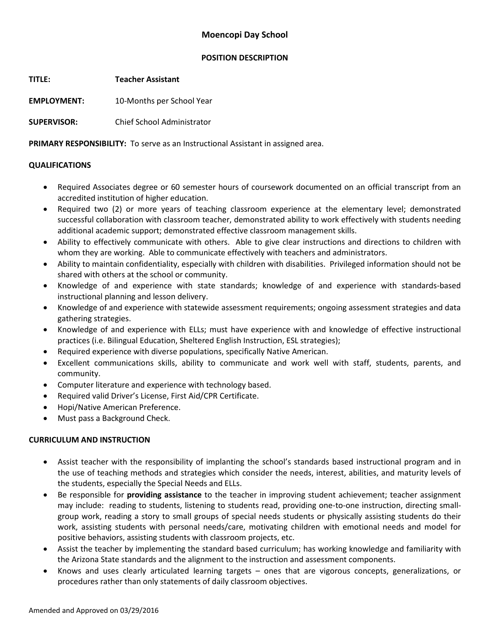# **Moencopi Day School**

### **POSITION DESCRIPTION**

**TITLE: Teacher Assistant**

**EMPLOYMENT:** 10-Months per School Year

**SUPERVISOR:** Chief School Administrator

**PRIMARY RESPONSIBILITY:** To serve as an Instructional Assistant in assigned area.

### **QUALIFICATIONS**

- Required Associates degree or 60 semester hours of coursework documented on an official transcript from an accredited institution of higher education.
- Required two (2) or more years of teaching classroom experience at the elementary level; demonstrated successful collaboration with classroom teacher, demonstrated ability to work effectively with students needing additional academic support; demonstrated effective classroom management skills.
- Ability to effectively communicate with others. Able to give clear instructions and directions to children with whom they are working. Able to communicate effectively with teachers and administrators.
- Ability to maintain confidentiality, especially with children with disabilities. Privileged information should not be shared with others at the school or community.
- Knowledge of and experience with state standards; knowledge of and experience with standards-based instructional planning and lesson delivery.
- Knowledge of and experience with statewide assessment requirements; ongoing assessment strategies and data gathering strategies.
- Knowledge of and experience with ELLs; must have experience with and knowledge of effective instructional practices (i.e. Bilingual Education, Sheltered English Instruction, ESL strategies);
- Required experience with diverse populations, specifically Native American.
- Excellent communications skills, ability to communicate and work well with staff, students, parents, and community.
- Computer literature and experience with technology based.
- Required valid Driver's License, First Aid/CPR Certificate.
- Hopi/Native American Preference.
- Must pass a Background Check.

### **CURRICULUM AND INSTRUCTION**

- Assist teacher with the responsibility of implanting the school's standards based instructional program and in the use of teaching methods and strategies which consider the needs, interest, abilities, and maturity levels of the students, especially the Special Needs and ELLs.
- Be responsible for **providing assistance** to the teacher in improving student achievement; teacher assignment may include: reading to students, listening to students read, providing one-to-one instruction, directing smallgroup work, reading a story to small groups of special needs students or physically assisting students do their work, assisting students with personal needs/care, motivating children with emotional needs and model for positive behaviors, assisting students with classroom projects, etc.
- Assist the teacher by implementing the standard based curriculum; has working knowledge and familiarity with the Arizona State standards and the alignment to the instruction and assessment components.
- Knows and uses clearly articulated learning targets ones that are vigorous concepts, generalizations, or procedures rather than only statements of daily classroom objectives.